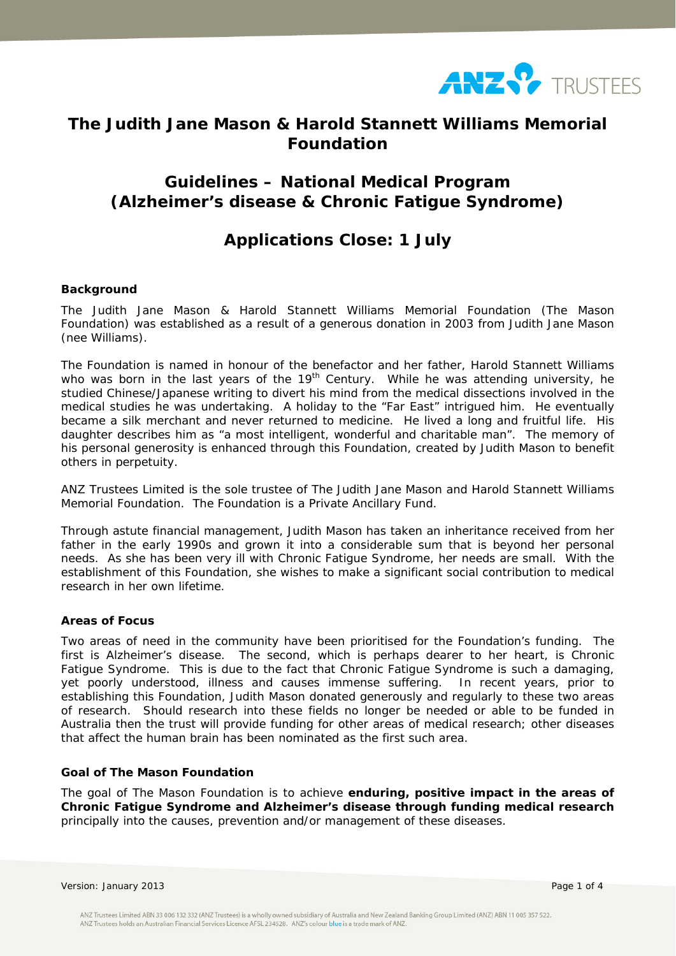

# **The Judith Jane Mason & Harold Stannett Williams Memorial Foundation**

# **Guidelines – National Medical Program (Alzheimer's disease & Chronic Fatigue Syndrome)**

# **Applications Close: 1 July**

## **Background**

The Judith Jane Mason & Harold Stannett Williams Memorial Foundation (The Mason Foundation) was established as a result of a generous donation in 2003 from Judith Jane Mason (nee Williams).

The Foundation is named in honour of the benefactor and her father, Harold Stannett Williams who was born in the last years of the  $19<sup>th</sup>$  Century. While he was attending university, he studied Chinese/Japanese writing to divert his mind from the medical dissections involved in the medical studies he was undertaking. A holiday to the "Far East" intrigued him. He eventually became a silk merchant and never returned to medicine. He lived a long and fruitful life. His daughter describes him as "a most intelligent, wonderful and charitable man". The memory of his personal generosity is enhanced through this Foundation, created by Judith Mason to benefit others in perpetuity.

ANZ Trustees Limited is the sole trustee of The Judith Jane Mason and Harold Stannett Williams Memorial Foundation. The Foundation is a Private Ancillary Fund.

Through astute financial management, Judith Mason has taken an inheritance received from her father in the early 1990s and grown it into a considerable sum that is beyond her personal needs. As she has been very ill with Chronic Fatigue Syndrome, her needs are small. With the establishment of this Foundation, she wishes to make a significant social contribution to medical research in her own lifetime.

### **Areas of Focus**

Two areas of need in the community have been prioritised for the Foundation's funding. The first is Alzheimer's disease. The second, which is perhaps dearer to her heart, is Chronic Fatigue Syndrome. This is due to the fact that Chronic Fatigue Syndrome is such a damaging, yet poorly understood, illness and causes immense suffering. In recent years, prior to establishing this Foundation, Judith Mason donated generously and regularly to these two areas of research. Should research into these fields no longer be needed or able to be funded in Australia then the trust will provide funding for other areas of medical research; other diseases that affect the human brain has been nominated as the first such area.

# **Goal of The Mason Foundation**

The goal of The Mason Foundation is to achieve *enduring, positive impact in the areas of Chronic Fatigue Syndrome and Alzheimer's disease through funding medical research* principally into the causes, prevention and/or management of these diseases.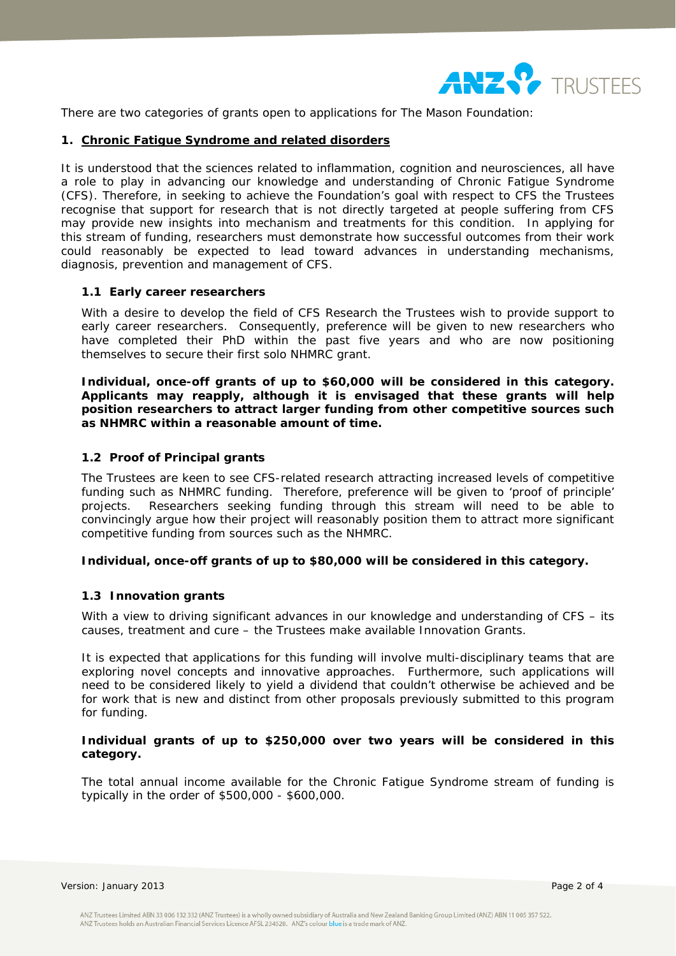

There are two categories of grants open to applications for The Mason Foundation:

#### **1. Chronic Fatigue Syndrome and related disorders**

It is understood that the sciences related to inflammation, cognition and neurosciences, all have a role to play in advancing our knowledge and understanding of Chronic Fatigue Syndrome (CFS). Therefore, in seeking to achieve the Foundation's goal with respect to CFS the Trustees recognise that support for research that is not directly targeted at people suffering from CFS may provide new insights into mechanism and treatments for this condition. In applying for this stream of funding, researchers must demonstrate how successful outcomes from their work could reasonably be expected to lead toward advances in understanding mechanisms, diagnosis, prevention and management of CFS.

## **1.1 Early career researchers**

With a desire to develop the field of CFS Research the Trustees wish to provide support to early career researchers. Consequently, preference will be given to new researchers who have completed their PhD within the past five years and who are now positioning themselves to secure their first solo NHMRC grant.

**Individual, once-off grants of up to \$60,000 will be considered in this category. Applicants may reapply, although it is envisaged that these grants will help position researchers to attract larger funding from other competitive sources such as NHMRC within a reasonable amount of time.** 

## **1.2 Proof of Principal grants**

The Trustees are keen to see CFS-related research attracting increased levels of competitive funding such as NHMRC funding. Therefore, preference will be given to 'proof of principle' projects. Researchers seeking funding through this stream will need to be able to convincingly argue how their project will reasonably position them to attract more significant competitive funding from sources such as the NHMRC.

#### **Individual, once-off grants of up to \$80,000 will be considered in this category.**

## **1.3 Innovation grants**

With a view to driving significant advances in our knowledge and understanding of CFS – its causes, treatment and cure – the Trustees make available Innovation Grants.

It is expected that applications for this funding will involve multi-disciplinary teams that are exploring novel concepts and innovative approaches. Furthermore, such applications will need to be considered likely to yield a dividend that couldn't otherwise be achieved and be for work that is new and distinct from other proposals previously submitted to this program for funding.

## **Individual grants of up to \$250,000 over two years will be considered in this category.**

The total annual income available for the Chronic Fatigue Syndrome stream of funding is typically in the order of \$500,000 - \$600,000.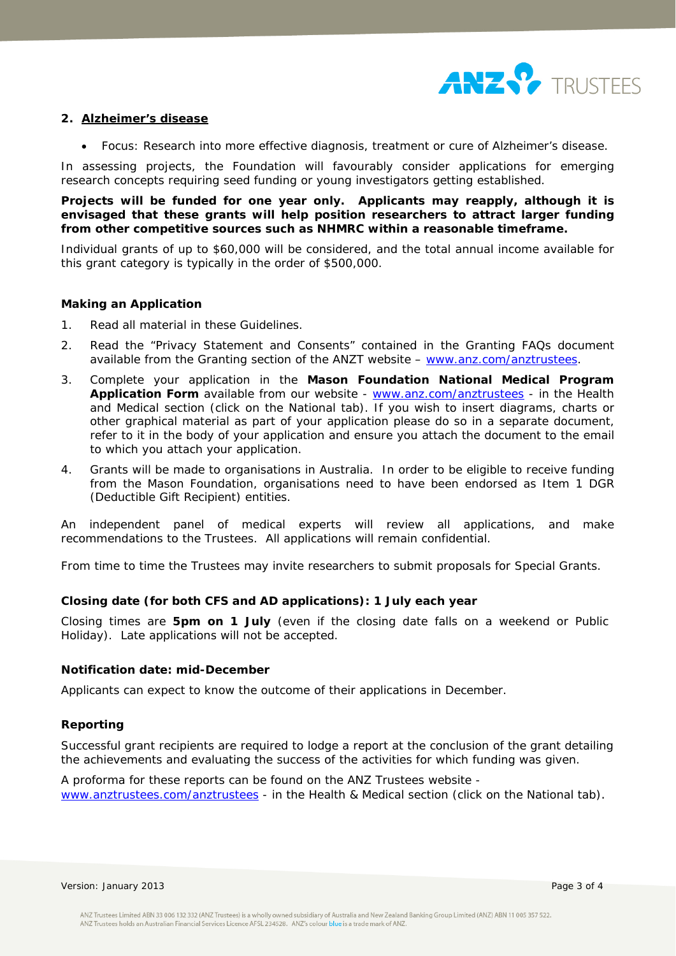

### **2. Alzheimer's disease**

Focus: Research into more effective diagnosis, treatment or cure of Alzheimer's disease.

In assessing projects, the Foundation will favourably consider applications for emerging research concepts requiring seed funding or young investigators getting established.

**Projects will be funded for one year only. Applicants may reapply, although it is envisaged that these grants will help position researchers to attract larger funding from other competitive sources such as NHMRC within a reasonable timeframe.**

Individual grants of up to \$60,000 will be considered, and the total annual income available for this grant category is typically in the order of \$500,000.

## **Making an Application**

- 1. Read all material in these Guidelines.
- 2. Read the "Privacy Statement and Consents" contained in the Granting FAQs document available from the Granting section of the ANZT website – www.anz.com/anztrustees.
- 3. Complete your application in the **Mason Foundation National Medical Program**  Application Form available from our website - www.anz.com/anztrustees - in the Health and Medical section (click on the National tab). If you wish to insert diagrams, charts or other graphical material as part of your application please do so in a separate document, refer to it in the body of your application and ensure you attach the document to the email to which you attach your application.
- 4. Grants will be made to organisations in Australia. In order to be eligible to receive funding from the Mason Foundation, organisations need to have been endorsed as Item 1 DGR (Deductible Gift Recipient) entities.

An independent panel of medical experts will review all applications, and make recommendations to the Trustees. All applications will remain confidential.

From time to time the Trustees may invite researchers to submit proposals for Special Grants.

#### **Closing date (for both CFS and AD applications): 1 July each year**

Closing times are **5pm on 1 July** (even if the closing date falls on a weekend or Public Holiday). Late applications will not be accepted.

### **Notification date: mid-December**

Applicants can expect to know the outcome of their applications in December.

#### **Reporting**

Successful grant recipients are required to lodge a report at the conclusion of the grant detailing the achievements and evaluating the success of the activities for which funding was given.

A proforma for these reports can be found on the ANZ Trustees website www.anztrustees.com/anztrustees - in the Health & Medical section (click on the National tab).